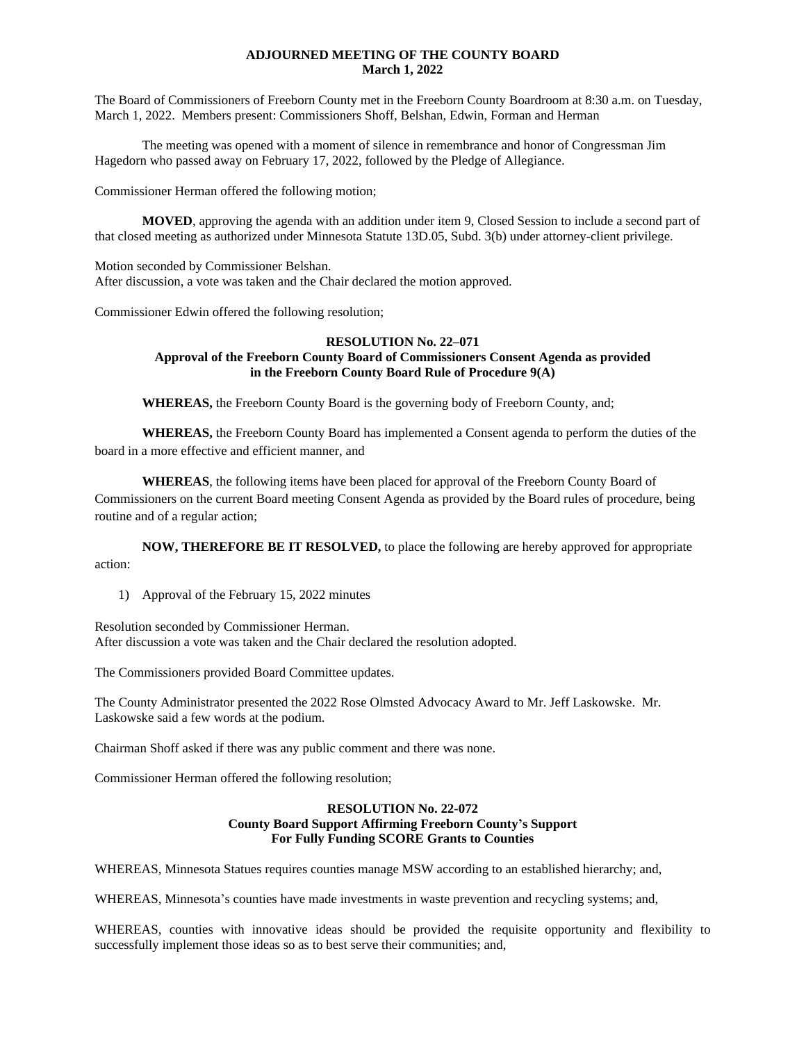## **ADJOURNED MEETING OF THE COUNTY BOARD March 1, 2022**

The Board of Commissioners of Freeborn County met in the Freeborn County Boardroom at 8:30 a.m. on Tuesday, March 1, 2022. Members present: Commissioners Shoff, Belshan, Edwin, Forman and Herman

The meeting was opened with a moment of silence in remembrance and honor of Congressman Jim Hagedorn who passed away on February 17, 2022, followed by the Pledge of Allegiance.

Commissioner Herman offered the following motion;

**MOVED**, approving the agenda with an addition under item 9, Closed Session to include a second part of that closed meeting as authorized under Minnesota Statute 13D.05, Subd. 3(b) under attorney-client privilege.

Motion seconded by Commissioner Belshan. After discussion, a vote was taken and the Chair declared the motion approved.

Commissioner Edwin offered the following resolution;

## **RESOLUTION No. 22–071 Approval of the Freeborn County Board of Commissioners Consent Agenda as provided in the Freeborn County Board Rule of Procedure 9(A)**

**WHEREAS,** the Freeborn County Board is the governing body of Freeborn County, and;

**WHEREAS,** the Freeborn County Board has implemented a Consent agenda to perform the duties of the board in a more effective and efficient manner, and

**WHEREAS**, the following items have been placed for approval of the Freeborn County Board of Commissioners on the current Board meeting Consent Agenda as provided by the Board rules of procedure, being routine and of a regular action;

**NOW, THEREFORE BE IT RESOLVED,** to place the following are hereby approved for appropriate action:

1) Approval of the February 15, 2022 minutes

Resolution seconded by Commissioner Herman. After discussion a vote was taken and the Chair declared the resolution adopted.

The Commissioners provided Board Committee updates.

The County Administrator presented the 2022 Rose Olmsted Advocacy Award to Mr. Jeff Laskowske. Mr. Laskowske said a few words at the podium.

Chairman Shoff asked if there was any public comment and there was none.

Commissioner Herman offered the following resolution;

#### **RESOLUTION No. 22-072 County Board Support Affirming Freeborn County's Support For Fully Funding SCORE Grants to Counties**

WHEREAS, Minnesota Statues requires counties manage MSW according to an established hierarchy; and,

WHEREAS, Minnesota's counties have made investments in waste prevention and recycling systems; and,

WHEREAS, counties with innovative ideas should be provided the requisite opportunity and flexibility to successfully implement those ideas so as to best serve their communities; and,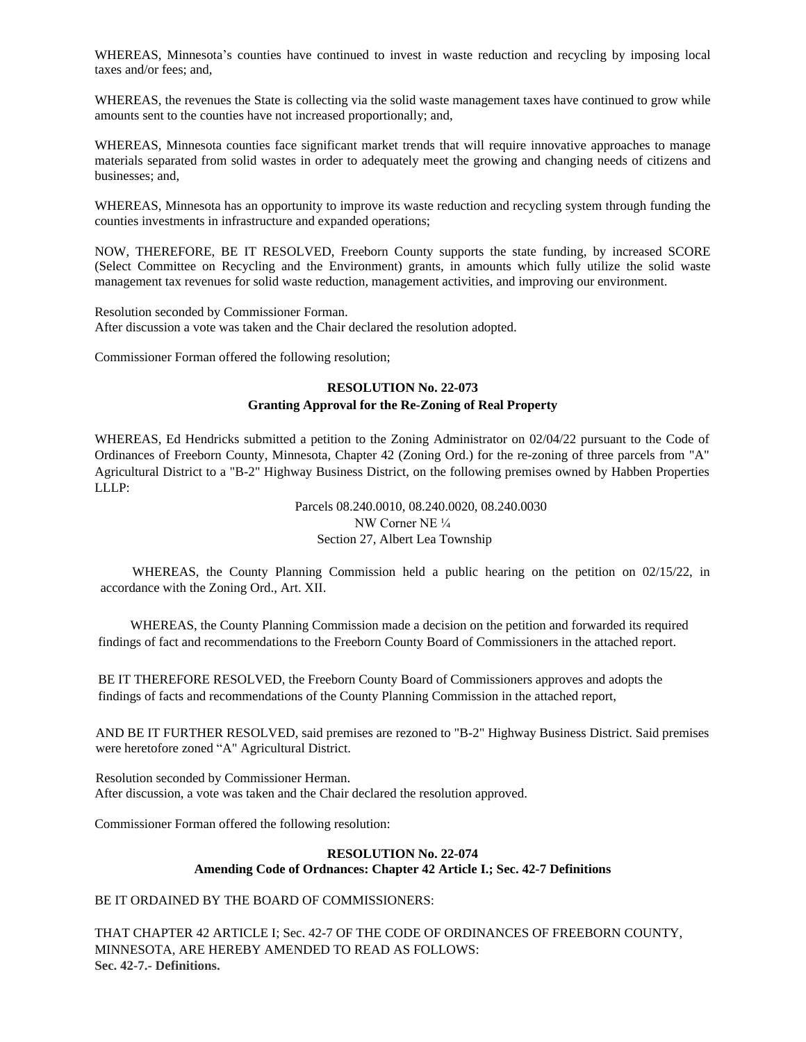WHEREAS, Minnesota's counties have continued to invest in waste reduction and recycling by imposing local taxes and/or fees; and,

WHEREAS, the revenues the State is collecting via the solid waste management taxes have continued to grow while amounts sent to the counties have not increased proportionally; and,

WHEREAS, Minnesota counties face significant market trends that will require innovative approaches to manage materials separated from solid wastes in order to adequately meet the growing and changing needs of citizens and businesses; and,

WHEREAS, Minnesota has an opportunity to improve its waste reduction and recycling system through funding the counties investments in infrastructure and expanded operations;

NOW, THEREFORE, BE IT RESOLVED, Freeborn County supports the state funding, by increased SCORE (Select Committee on Recycling and the Environment) grants, in amounts which fully utilize the solid waste management tax revenues for solid waste reduction, management activities, and improving our environment.

Resolution seconded by Commissioner Forman. After discussion a vote was taken and the Chair declared the resolution adopted.

Commissioner Forman offered the following resolution;

# **RESOLUTION No. 22-073 Granting Approval for the Re-Zoning of Real Property**

WHEREAS, Ed Hendricks submitted a petition to the Zoning Administrator on 02/04/22 pursuant to the Code of Ordinances of Freeborn County, Minnesota, Chapter 42 (Zoning Ord.) for the re-zoning of three parcels from "A" Agricultural District to a "B-2" Highway Business District, on the following premises owned by Habben Properties LLLP:

> Parcels 08.240.0010, 08.240.0020, 08.240.0030 NW Corner NE ¼ Section 27, Albert Lea Township

WHEREAS, the County Planning Commission held a public hearing on the petition on 02/15/22, in accordance with the Zoning Ord., Art. XII.

WHEREAS, the County Planning Commission made a decision on the petition and forwarded its required findings of fact and recommendations to the Freeborn County Board of Commissioners in the attached report.

BE IT THEREFORE RESOLVED, the Freeborn County Board of Commissioners approves and adopts the findings of facts and recommendations of the County Planning Commission in the attached report,

AND BE IT FURTHER RESOLVED, said premises are rezoned to "B-2" Highway Business District. Said premises were heretofore zoned "A" Agricultural District.

Resolution seconded by Commissioner Herman. After discussion, a vote was taken and the Chair declared the resolution approved.

Commissioner Forman offered the following resolution:

# **RESOLUTION No. 22-074 Amending Code of Ordnances: Chapter 42 Article I.; Sec. 42-7 Definitions**

BE IT ORDAINED BY THE BOARD OF COMMISSIONERS:

THAT CHAPTER 42 ARTICLE I; Sec. 42-7 OF THE CODE OF ORDINANCES OF FREEBORN COUNTY, MINNESOTA, ARE HEREBY AMENDED TO READ AS FOLLOWS: **Sec. 42-7.- Definitions.**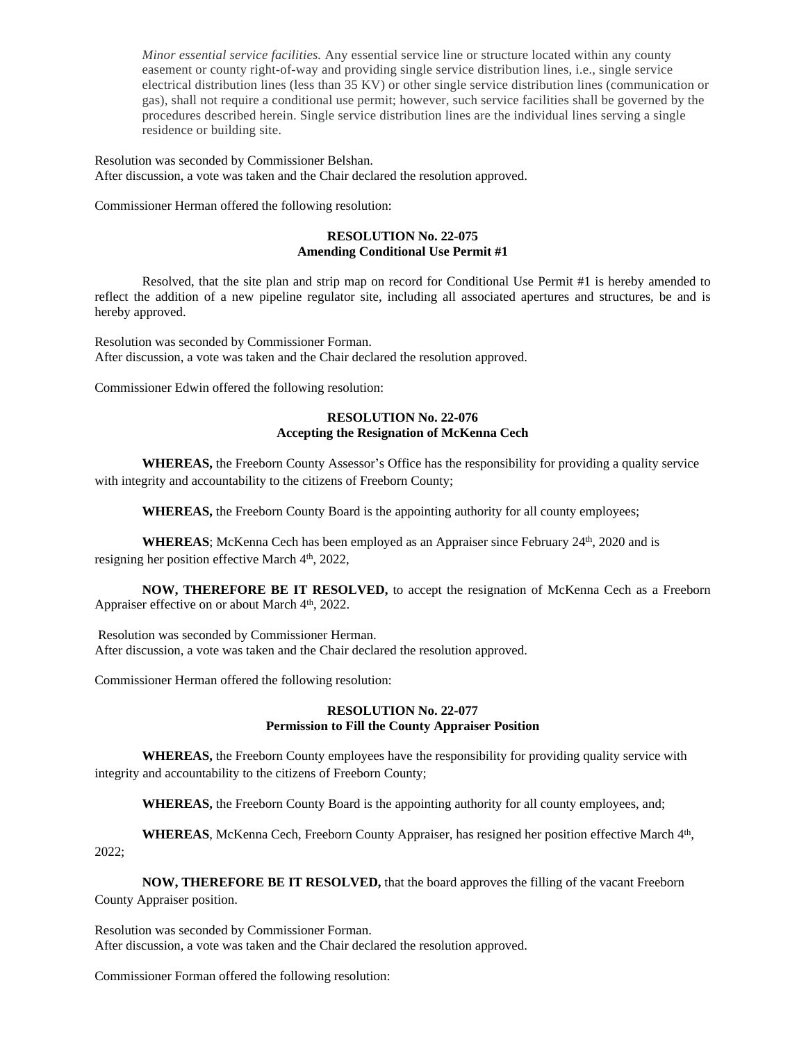*Minor essential service facilities.* Any essential service line or structure located within any county easement or county right-of-way and providing single service distribution lines, i.e., single service electrical distribution lines (less than 35 KV) or other single service distribution lines (communication or gas), shall not require a conditional use permit; however, such service facilities shall be governed by the procedures described herein. Single service distribution lines are the individual lines serving a single residence or building site.

Resolution was seconded by Commissioner Belshan. After discussion, a vote was taken and the Chair declared the resolution approved.

Commissioner Herman offered the following resolution:

# **RESOLUTION No. 22-075 Amending Conditional Use Permit #1**

Resolved, that the site plan and strip map on record for Conditional Use Permit #1 is hereby amended to reflect the addition of a new pipeline regulator site, including all associated apertures and structures, be and is hereby approved.

Resolution was seconded by Commissioner Forman. After discussion, a vote was taken and the Chair declared the resolution approved.

Commissioner Edwin offered the following resolution:

#### **RESOLUTION No. 22-076 Accepting the Resignation of McKenna Cech**

**WHEREAS,** the Freeborn County Assessor's Office has the responsibility for providing a quality service with integrity and accountability to the citizens of Freeborn County;

**WHEREAS,** the Freeborn County Board is the appointing authority for all county employees;

WHEREAS; McKenna Cech has been employed as an Appraiser since February 24<sup>th</sup>, 2020 and is resigning her position effective March 4<sup>th</sup>, 2022,

**NOW, THEREFORE BE IT RESOLVED,** to accept the resignation of McKenna Cech as a Freeborn Appraiser effective on or about March 4<sup>th</sup>, 2022.

Resolution was seconded by Commissioner Herman. After discussion, a vote was taken and the Chair declared the resolution approved.

Commissioner Herman offered the following resolution:

## **RESOLUTION No. 22-077 Permission to Fill the County Appraiser Position**

**WHEREAS,** the Freeborn County employees have the responsibility for providing quality service with integrity and accountability to the citizens of Freeborn County;

**WHEREAS,** the Freeborn County Board is the appointing authority for all county employees, and;

WHEREAS, McKenna Cech, Freeborn County Appraiser, has resigned her position effective March 4<sup>th</sup>, 2022;

**NOW, THEREFORE BE IT RESOLVED,** that the board approves the filling of the vacant Freeborn County Appraiser position.

Resolution was seconded by Commissioner Forman. After discussion, a vote was taken and the Chair declared the resolution approved.

Commissioner Forman offered the following resolution: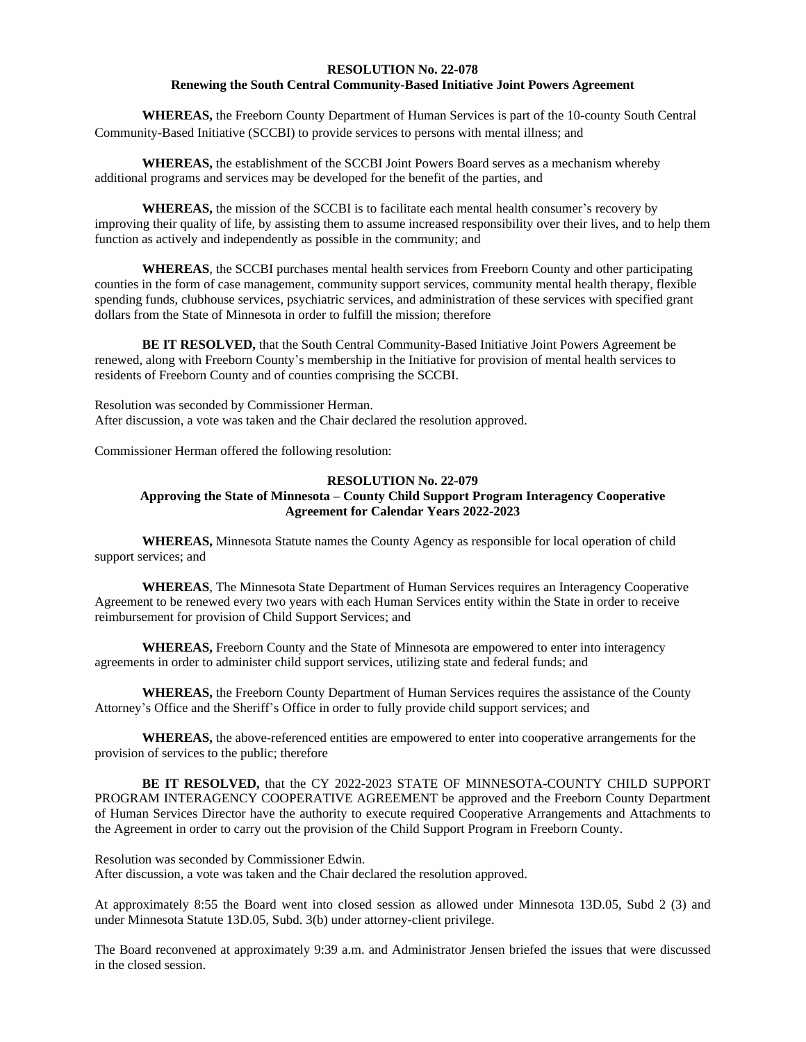## **RESOLUTION No. 22-078 Renewing the South Central Community-Based Initiative Joint Powers Agreement**

**WHEREAS,** the Freeborn County Department of Human Services is part of the 10-county South Central Community-Based Initiative (SCCBI) to provide services to persons with mental illness; and

**WHEREAS,** the establishment of the SCCBI Joint Powers Board serves as a mechanism whereby additional programs and services may be developed for the benefit of the parties, and

**WHEREAS,** the mission of the SCCBI is to facilitate each mental health consumer's recovery by improving their quality of life, by assisting them to assume increased responsibility over their lives, and to help them function as actively and independently as possible in the community; and

**WHEREAS**, the SCCBI purchases mental health services from Freeborn County and other participating counties in the form of case management, community support services, community mental health therapy, flexible spending funds, clubhouse services, psychiatric services, and administration of these services with specified grant dollars from the State of Minnesota in order to fulfill the mission; therefore

**BE IT RESOLVED,** that the South Central Community-Based Initiative Joint Powers Agreement be renewed, along with Freeborn County's membership in the Initiative for provision of mental health services to residents of Freeborn County and of counties comprising the SCCBI.

Resolution was seconded by Commissioner Herman. After discussion, a vote was taken and the Chair declared the resolution approved.

Commissioner Herman offered the following resolution:

## **RESOLUTION No. 22-079 Approving the State of Minnesota – County Child Support Program Interagency Cooperative Agreement for Calendar Years 2022-2023**

**WHEREAS,** Minnesota Statute names the County Agency as responsible for local operation of child support services; and

**WHEREAS**, The Minnesota State Department of Human Services requires an Interagency Cooperative Agreement to be renewed every two years with each Human Services entity within the State in order to receive reimbursement for provision of Child Support Services; and

**WHEREAS,** Freeborn County and the State of Minnesota are empowered to enter into interagency agreements in order to administer child support services, utilizing state and federal funds; and

**WHEREAS,** the Freeborn County Department of Human Services requires the assistance of the County Attorney's Office and the Sheriff's Office in order to fully provide child support services; and

**WHEREAS,** the above-referenced entities are empowered to enter into cooperative arrangements for the provision of services to the public; therefore

**BE IT RESOLVED,** that the CY 2022-2023 STATE OF MINNESOTA-COUNTY CHILD SUPPORT PROGRAM INTERAGENCY COOPERATIVE AGREEMENT be approved and the Freeborn County Department of Human Services Director have the authority to execute required Cooperative Arrangements and Attachments to the Agreement in order to carry out the provision of the Child Support Program in Freeborn County.

Resolution was seconded by Commissioner Edwin. After discussion, a vote was taken and the Chair declared the resolution approved.

At approximately 8:55 the Board went into closed session as allowed under Minnesota 13D.05, Subd 2 (3) and under Minnesota Statute 13D.05, Subd. 3(b) under attorney-client privilege.

The Board reconvened at approximately 9:39 a.m. and Administrator Jensen briefed the issues that were discussed in the closed session.